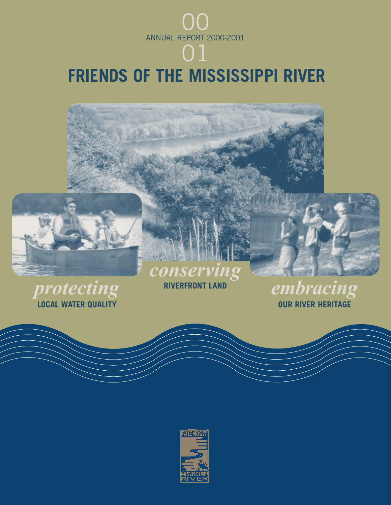

# **FRIENDS OF THE MISSISSIPPI RIVER**

All Ave



**LOCAL WATER QUALITY** 

RIVERFRONT LAND *EMbracing* **RIVERFRONT LAND** *RIVER HERITAGE* 

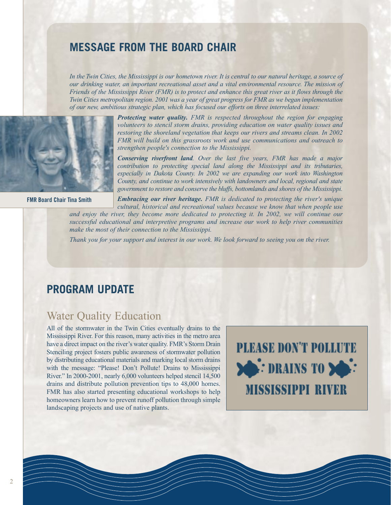# **MESSAGE FROM THE BOARD CHAIR**

*In the Twin Cities, the Mississippi is our hometown river. It is central to our natural heritage, a source of our drinking water, an important recreational asset and a vital environmental resource. The mission of Friends of the Mississippi River (FMR) is to protect and enhance this great river as it flows through the Twin Cities metropolitan region. 2001 was a year of great progress for FMR as we began implementation of our new, ambitious strategic plan, which has focused our efforts on three interrelated issues:*



**FMR Board Chair Tina Smith**

*Protecting water quality. FMR is respected throughout the region for engaging volunteers to stencil storm drains, providing education on water quality issues and restoring the shoreland vegetation that keeps our rivers and streams clean. In 2002 FMR will build on this grassroots work and use communications and outreach to strengthen people's connection to the Mississippi.*

*Conserving riverfront land. Over the last five years, FMR has made a major contribution to protecting special land along the Mississippi and its tributaries, especially in Dakota County. In 2002 we are expanding our work into Washington County, and continue to work intensively with landowners and local, regional and state government to restore and conserve the bluffs, bottomlands and shores of the Mississippi.*

*Embracing our river heritage. FMR is dedicated to protecting the river's unique cultural, historical and recreational values because we know that when people use*

*and enjoy the river, they become more dedicated to protecting it. In 2002, we will continue our successful educational and interpretive programs and increase our work to help river communities make the most of their connection to the Mississippi.*

*Thank you for your support and interest in our work. We look forward to seeing you on the river.*

# **PROGRAM UPDATE**

## Water Quality Education

All of the stormwater in the Twin Cities eventually drains to the Mississippi River. For this reason, many activities in the metro area have a direct impact on the river's water quality. FMR's Storm Drain Stenciling project fosters public awareness of stormwater pollution by distributing educational materials and marking local storm drains with the message: "Please! Don't Pollute! Drains to Mississippi River." In 2000-2001, nearly 6,000 volunteers helped stencil 14,500 drains and distribute pollution prevention tips to 48,000 homes. FMR has also started presenting educational workshops to help homeowners learn how to prevent runoff pollution through simple landscaping projects and use of native plants.

**PLEASE DON'T POLLUTE DRAINS TO DEL: MISSISSIPPI RIVER**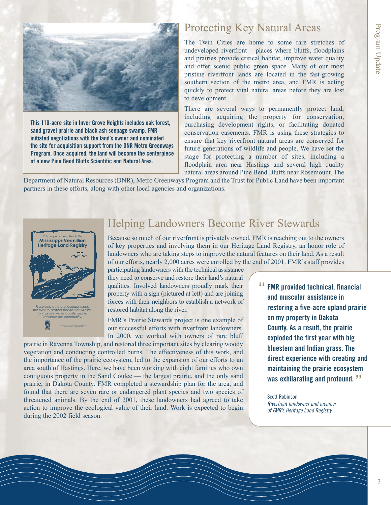

**This 110-acre site in Inver Grove Heights includes oak forest, sand gravel prairie and black ash seepage swamp. FMR initiated negotiations with the land's owner and nominated the site for acquisition support from the DNR Metro Greenways Program. Once acquired, the land will become the centerpiece of a new Pine Bend Bluffs Scientific and Natural Area.** 

# Protecting Key Natural Areas

The Twin Cities are home to some rare stretches of undeveloped riverfront – places where bluffs, floodplains and prairies provide critical habitat, improve water quality and offer scenic public green space. Many of our most pristine riverfront lands are located in the fast-growing southern section of the metro area, and FMR is acting quickly to protect vital natural areas before they are lost to development.

There are several ways to permanently protect land, including acquiring the property for conservation, purchasing development rights, or facilitating donated conservation easements. FMR is using these strategies to ensure that key riverfront natural areas are conserved for future generations of wildlife and people. We have set the stage for protecting a number of sites, including a floodplain area near Hastings and several high quality natural areas around Pine Bend Bluffs near Rosemount. The

Department of Natural Resources (DNR), Metro Greenways Program and the Trust for Public Land have been important partners in these efforts, along with other local agencies and organizations.



651-222-2193 • www.fmr.org

# Helping Landowners Become River Stewards

Because so much of our riverfront is privately owned, FMR is reaching out to the owners of key properties and involving them in our Heritage Land Registry, an honor role of landowners who are taking steps to improve the natural features on their land. As a result of our efforts, nearly 2,000 acres were enrolled by the end of 2001. FMR's staff provides

participating landowners with the technical assistance they need to conserve and restore their land's natural qualities. Involved landowners proudly mark their property with a sign (pictured at left) and are joining forces with their neighbors to establish a network of restored habitat along the river.

FMR's Prairie Stewards project is one example of our successful efforts with riverfront landowners. In 2000, we worked with owners of rare bluff

prairie in Ravenna Township, and restored three important sites by clearing woody vegetation and conducting controlled burns. The effectiveness of this work, and the importance of the prairie ecosystem, led to the expansion of our efforts to an area south of Hastings. Here, we have been working with eight families who own contiguous property in the Sand Coulee — the largest prairie, and the only sand prairie, in Dakota County. FMR completed a stewardship plan for the area, and found that there are seven rare or endangered plant species and two species of threatened animals. By the end of 2001, these landowners had agreed to take action to improve the ecological value of their land. Work is expected to begin during the 2002 field season.

<sup>"</sup> FMR provided technical, financial **and muscular assistance in restoring a five-acre upland prairie on my property in Dakota County. As a result, the prairie exploded the first year with big bluestem and Indian grass. The direct experience with creating and maintaining the prairie ecosystem was exhilarating and profound.** "

Scott Robinson Riverfront landowner and member of FMR's Heritage Land Registry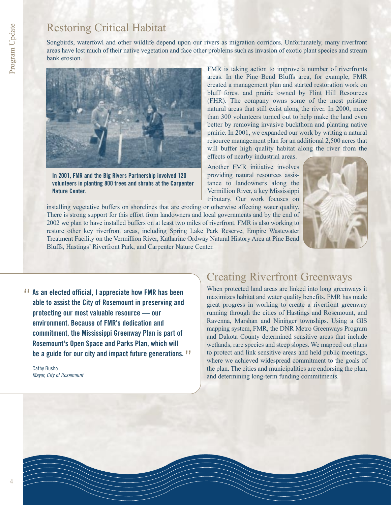# Restoring Critical Habitat

Songbirds, waterfowl and other wildlife depend upon our rivers as migration corridors. Unfortunately, many riverfront areas have lost much of their native vegetation and face other problems such as invasion of exotic plant species and stream bank erosion.



**In 2001, FMR and the Big Rivers Partnership involved 120 volunteers in planting 800 trees and shrubs at the Carpenter Nature Center.**

FMR is taking action to improve a number of riverfronts areas. In the Pine Bend Bluffs area, for example, FMR created a management plan and started restoration work on bluff forest and prairie owned by Flint Hill Resources (FHR). The company owns some of the most pristine natural areas that still exist along the river. In 2000, more than 300 volunteers turned out to help make the land even better by removing invasive buckthorn and planting native prairie. In 2001, we expanded our work by writing a natural resource management plan for an additional 2,500 acres that will buffer high quality habitat along the river from the effects of nearby industrial areas.

Another FMR initiative involves providing natural resources assistance to landowners along the Vermillion River, a key Mississippi tributary. Our work focuses on

installing vegetative buffers on shorelines that are eroding or otherwise affecting water quality. There is strong support for this effort from landowners and local governments and by the end of 2002 we plan to have installed buffers on at least two miles of riverfront. FMR is also working to restore other key riverfront areas, including Spring Lake Park Reserve, Empire Wastewater Treatment Facility on the Vermillion River, Katharine Ordway Natural History Area at Pine Bend Bluffs, Hastings' Riverfront Park, and Carpenter Nature Center.



**As an elected official, I appreciate how FMR has been**<br>able to assist the City of Rosemount in preserving and **able to assist the City of Rosemount in preserving and protecting our most valuable resource — our environment. Because of FMR's dedication and commitment, the Mississippi Greenway Plan is part of Rosemount's Open Space and Parks Plan, which will be a guide for our city and impact future generations.** "

Cathy Busho Mayor, City of Rosemount

# Creating Riverfront Greenways

When protected land areas are linked into long greenways it maximizes habitat and water quality benefits. FMR has made great progress in working to create a riverfront greenway running through the cities of Hastings and Rosemount, and Ravenna, Marshan and Nininger townships. Using a GIS mapping system, FMR, the DNR Metro Greenways Program and Dakota County determined sensitive areas that include wetlands, rare species and steep slopes. We mapped out plans to protect and link sensitive areas and held public meetings, where we achieved widespread commitment to the goals of the plan. The cities and municipalities are endorsing the plan, and determining long-term funding commitments.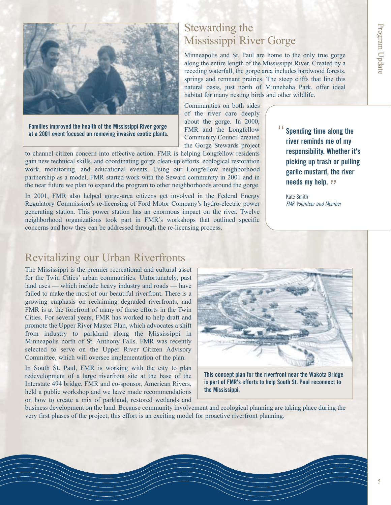

**Families improved the health of the Mississippi River gorge at a 2001 event focused on removing invasive exotic plants.**

to channel citizen concern into effective action. FMR is helping Longfellow residents gain new technical skills, and coordinating gorge clean-up efforts, ecological restoration work, monitoring, and educational events. Using our Longfellow neighborhood partnership as a model, FMR started work with the Seward community in 2001 and in the near future we plan to expand the program to other neighborhoods around the gorge.

In 2001, FMR also helped gorge-area citizens get involved in the Federal Energy Regulatory Commission's re-licensing of Ford Motor Company's hydro-electric power generating station. This power station has an enormous impact on the river. Twelve neighborhood organizations took part in FMR's workshops that outlined specific concerns and how they can be addressed through the re-licensing process.

# Stewarding the Mississippi River Gorge

Minneapolis and St. Paul are home to the only true gorge along the entire length of the Mississippi River. Created by a receding waterfall, the gorge area includes hardwood forests, springs and remnant prairies. The steep cliffs that line this natural oasis, just north of Minnehaha Park, offer ideal habitat for many nesting birds and other wildlife.

Communities on both sides of the river care deeply about the gorge. In 2000, FMR and the Longfellow Community Council created the Gorge Stewards project

**Spending time along the river reminds me of my responsibility. Whether it's picking up trash or pulling garlic mustard, the river needs my help. ??**<br>... . . ... "

Kate Smith FMR Volunteer and Member

# Revitalizing our Urban Riverfronts

The Mississippi is the premier recreational and cultural asset for the Twin Cities' urban communities. Unfortunately, past land uses — which include heavy industry and roads — have failed to make the most of our beautiful riverfront. There is a growing emphasis on reclaiming degraded riverfronts, and FMR is at the forefront of many of these efforts in the Twin Cities. For several years, FMR has worked to help draft and promote the Upper River Master Plan, which advocates a shift from industry to parkland along the Mississippi in Minneapolis north of St. Anthony Falls. FMR was recently selected to serve on the Upper River Citizen Advisory Committee, which will oversee implementation of the plan.

In South St. Paul, FMR is working with the city to plan redevelopment of a large riverfront site at the base of the Interstate 494 bridge. FMR and co-sponsor, American Rivers, held a public workshop and we have made recommendations on how to create a mix of parkland, restored wetlands and



**This concept plan for the riverfront near the Wakota Bridge is part of FMR's efforts to help South St. Paul reconnect to the Mississippi.**

business development on the land. Because community involvement and ecological planning are taking place during the very first phases of the project, this effort is an exciting model for proactive riverfront planning.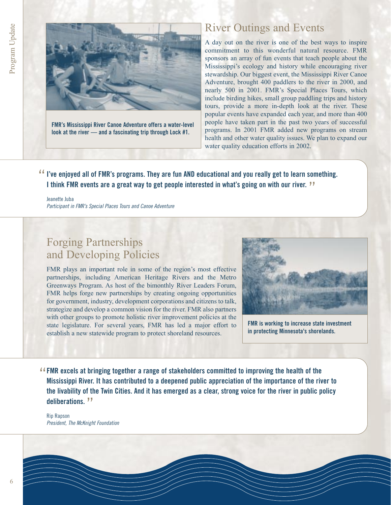

**FMR's Mississippi River Canoe Adventure offers a water-level look at the river — and a fascinating trip through Lock #1.**

# River Outings and Events

A day out on the river is one of the best ways to inspire commitment to this wonderful natural resource. FMR sponsors an array of fun events that teach people about the Mississippi's ecology and history while encouraging river stewardship. Our biggest event, the Mississippi River Canoe Adventure, brought 400 paddlers to the river in 2000, and nearly 500 in 2001. FMR's Special Places Tours, which include birding hikes, small group paddling trips and history tours, provide a more in-depth look at the river. These popular events have expanded each year, and more than 400 people have taken part in the past two years of successful programs. In 2001 FMR added new programs on stream health and other water quality issues. We plan to expand our water quality education efforts in 2002.

**I've enjoyed all of FMR's programs. They are fun AND educational and you really get to learn something.**<br>I think EMB ovents are a great way to get people interested in what's going on with our river. **J I think FMR events are a great way to get people interested in what's going on with our river.**  "

Jeanette Juba Participant in FMR's Special Places Tours and Canoe Adventure

# Forging Partnerships and Developing Policies

FMR plays an important role in some of the region's most effective partnerships, including American Heritage Rivers and the Metro Greenways Program. As host of the bimonthly River Leaders Forum, FMR helps forge new partnerships by creating ongoing opportunities for government, industry, development corporations and citizens to talk, strategize and develop a common vision for the river. FMR also partners with other groups to promote holistic river improvement policies at the state legislature. For several years, FMR has led a major effort to establish a new statewide program to protect shoreland resources.



**FMR is working to increase state investment in protecting Minnesota's shorelands.**

**FMR excels at bringing together a range of stakeholders committed to improving the health of the** " **Mississippi River. It has contributed to a deepened public appreciation of the importance of the river to the livability of the Twin Cities. And it has emerged as a clear, strong voice for the river in public policy deliberations.** "

Rip Rapson President, The McKnight Foundation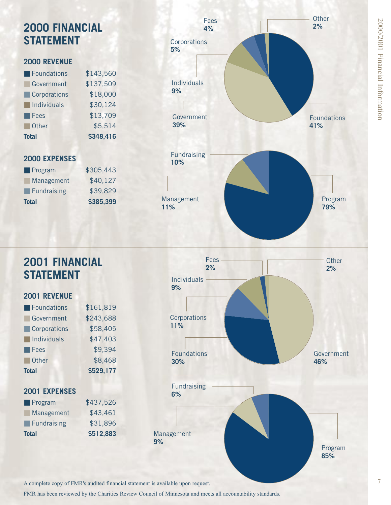# **2000 FINANCIAL STATEMENT**

### **2000 REVENUE**

| Foundations                | \$143,560 |
|----------------------------|-----------|
| Government                 | \$137,509 |
| Corporations               | \$18,000  |
| $\blacksquare$ Individuals | \$30,124  |
| <b>Fees</b>                | \$13,709  |
| Other                      | \$5,514   |
| <b>Total</b>               | \$348,416 |

### **2000 EXPENSES**

| <b>Total</b>               | \$385,399 |
|----------------------------|-----------|
| $\blacksquare$ Fundraising | \$39,829  |
| Management                 | \$40,127  |
| $\blacksquare$ Program     | \$305,443 |



# 2000/2001 Financial Information  $72000(2001)$  Financial Information of  $\sim$

# **2001 FINANCIAL STATEMENT**

### **2001 REVENUE**

| <b>Total</b>               | \$529,177 |
|----------------------------|-----------|
| Other                      | \$8,468   |
| $\blacksquare$ Fees        | \$9,394   |
| $\blacksquare$ Individuals | \$47,403  |
| Corporations               | \$58,405  |
| Government                 | \$243,688 |
| Foundations                | \$161,819 |

### **2001 EXPENSES**

| <b>Total</b>               | \$512,883 |
|----------------------------|-----------|
| $\blacksquare$ Fundraising | \$31,896  |
| Management                 | \$43,461  |
| $\blacksquare$ Program     | \$437,526 |



A complete copy of FMR's audited financial statement is available upon request.

FMR has been reviewed by the Charities Review Council of Minnesota and meets all accountability standards.

**9%**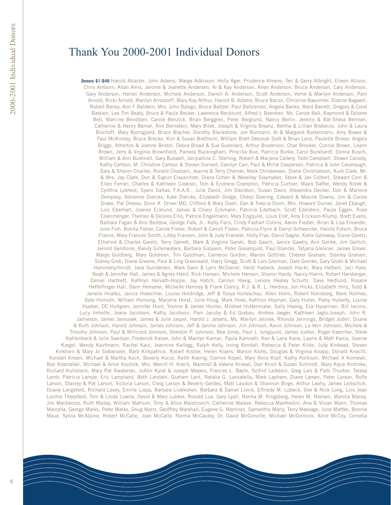# Thank You 2000-2001 Individual Donors

**Donors \$1-\$49** Harold Ableiter, John Adams, Marge Adkisson, Holly Ager, Prudence Ahrens, Teri & Gerry Albright, Eileen Allison, Chris Amborn, Allan Amis, Jerome & Jeanette Andersen, Al & Kay Anderson, Allen Anderson, Bruce Anderson, Cary Anderson, Gary Anderson, Harlan Anderson, Michele Anderson, Darrell A. Anderson, Scott Anderson, Verne & Marilyn Anderson, Pam Arnold, Ricki Arnold, Marilyn Arnsdorff, Mary Kay Arthur, Harold B. Adams, Bruce Bacon, Christine Baeumler, Dianne Bagwell, Robert Bailey, Ann F Baldwin, Mrs. John Balego, Bruce Baltzer, Paul Baltzersen, Angela Banks, Ward Barrett, Gregory & Coral Bastien, Lee Tim Beaty, Bruce & Paula Becker, Lawrence Becklund, Alfred L Beenken, Ms. Carole Bell, Raymond & Dolores Bell, Marcine Bendsten, Carole Benzick, Brian Berggren, Peter Berglund, Nancy Berlin, Jeremy & Bat-Sheva Berman, Catherine & Henry Bernal, Ann Bernstein, Mary Bilek, Joseph & Virginia Bisanz, Bertha & Lillian Bisbecos, John & Laura Bischoff, Mary Bjorngjield, Bruce Blacher, Dorothy Blackstone, Jon Bormann, Al & Margaret Bostelmann, Amy Bower & Paul McKinney, Bruce Brecke, Kim & Susan Bretheim, William Brett Deborah Sodt & Brian Lenz, Paulette Briese, Angela Briggs, Atherton & Joanne Bristol, Debra Broad & Sue Guesnard, Arthur Broderson, Char Brooker, Connie Brown, Leann Brown, Jerry & Virginia Brownfield, Pamela Buckingham, Priscilla Bue, Patricia Burke, Carol Burkhardt, Donna Busch, William & Ann Bushnell, Gary Buswell, Jacqueline C. Sterling, Robert & Marjana Callery, Todd Campbell, Shawn Canady, Kathy Carlson, M. Christine Carlson & Steven Durrant, Carolyn Carr, Paul & Millie Caspersen, Patricia & John Cavanaugh, Gary & Sharon Charles, Ronald Chastain, Jeanne & Terry Cherner, Mark Christensen, Diane Christianson, Kurk Clark, Mr. & Mrs. Jay Clark, Don & Sigrun Clausnitzer, Diana Cohen & Weselley Slaymaker, Steve & Jan Colbert, Stewart Corn & Ellen Ferrari, Charles & Kathleen Coskran, Tom & Endrene Crampton, Patricia Curtner, Mavis Daffer, Wendy Rolek & Cynthia Lybhest, Spero Daltas, F.A.A.R., Julie David, Jim Davidson, Susan Davis, Alexandra Decker, Don & Marlene Dempsey, Adrienne Diercks, Kate Diercks, Elizabeth Dodge, Cheryl Doering, Edward & Maxine Downs, Jim & Carole Drake, Pat Dreese, Donn R. Driver MD, Clifford & Mary Duell, Dan & Trescia Dunn, Mrs. Howard Durner, Janet Ebaugh, Lois Eberhart, Joanne Ecklund, James & Charyl Eckmann, Patricia Edelbach, Scott Edelstein, Paula Eggen, Rose Eisenmenger, Themeo & Delores Ellis, Patrice Engelmann, Mary Engquist, Louis Eret, Amy Erickson-Klump, Brett Evans, Barbara Fagan & Ann Beddow, George Falk, Jr., Kelly Faris, Cindy Fashart Collins, Aaron Fiedler, Brian & Lisa Finander, Julie Fish, Bonita Fisher, Carole Fisher, Robert & Carroll Flaten, Patricia Flynn & Darryl Schwerzler, Harold Fotsch, Bruce France, Mary Frances Smith, Libby Fransen, John & Judy Fransler, Holly Frye, David Gagne, Katie Galloway, Diane Garetz, Ethelind & Charles Garetz, Terry Garrett, Mark & Virginia Garski, Bob Gasch, Janice Gawtry, Ann Gerike, Jim Gerlich, Jerrold Gershone, Randy Gillenwaters, Barbara Gislason, Peter Gisselquist, Paul Glander, Tatjana Gleixner, James Glover, Marge Goldberg, Mary Goldman, Tim Goodman, Cameron Gordon, Marion Gottlieb, Chester Graham, Stanley Graham, Sidney Greb, Diane Greene, Paul & Ling Greenwald, Harry Gregg, Scott & Lois Greiman, Dale Grenke, Gary Groth & Michael Hammerschmidt, Jane Gundersen, Mark Gwin & Lynn McDaniel, Heidi Habeck, Joseph Hackl, Mary Halbert, Jaci Hale, Noah & Jennifer Hall, James & Agnes Hand, Rick Hansen, Michele Hanson, Sharon Hardy, Nancy Harris, Robert Harsberger, Daniel Hartnett, Kathryn Harvath-Hoppe, Jay Hatch, Carolyn Havig, Lenore Healey Schultz, Dave Hedlund, Rosalie Heffelfinger Hall, Dann Henseler, Michelle Hensley & Frank Clancy, R.J. & R. L. Herdina, Jon Hicks, Elizabeth Hinz, Todd & Janelle Hnatko, Janice Hoeschler, Louise Holdridge, Jeff & Tonya Holleschau, Allen Holm, Robert Holmberg, Mark Holmes, Dale Homuth, William Hornung, Marjorie Horst, Julia Houg, Mark Hove, Kathryn Hoyman, Gary Huber, Patsy Huberty, Louise Hueber, DC Hultgren, Jennifer Hunt, Yvonne & James Hunter, Mildred Huttenmaier, Sally Hwang, Eva Hyvarinen, Bill Iacono, Lucy Imholte, Jeana Jacobson, Kathy Jacobson, Pam Jacoby & Ed Grabau, Andrea Jaeger, Kathleen Jaglo-Joseph, John R. Jamieson, James Janousek, James & Julie Jasper, Harold J. Jebens, Ms. Marilyn Jelinek, Rhonda Jennings, Bridget Jodell, Duane & Ruth Johnson, Harold Johnson, James Johnson, Jeff & Janine Johnson, Jim Johnson, Kevin Johnson, La Vern Johnson, Michele & Timothy Johnson, Paul & Millicent Johnson, Sheldon P. Johnson, Bea Jones, Paul J. Jungquist, James Justen, Roger Kaercher, Steve Kahlenbeck & Julie Sweitzer, Frederick Kaiser, John & Marilyn Kaman, Paula Kamrath, Ken & Lana Kane, Laurie & Matt Kania, Jeanne Kargel, Wendy Kaufmann, Rachel Kaul, Jeannine Kellogg, Ralph Kelly, Irving Kendall, Rebecca & Peter Kilde, Judy Kinkead, Steven Kirkhorn & Mary Jo Siebenaler, Barb Kirkpatrick, Robert Kistler, Helen Klaers, Marion Klohs, Douglas & Virginia Knapp, Donald Knecht, Kendall Kneen, Michael & Martha Koch, Beverly Kocur, Keith Koenig, Corrine Kopet, Mary Alice Kopf, Kathy Korblum, Michael A Korneski, Bob Kosmalski, Michael & Anne Koutnik, Mrs. Merrill H. Krech, Marshall & Valerie Kriesel, Dan Krivit & Susan Schmidt, Mary Alyce Krohnke, Richard Kulisheck, Mary Pat Kwaterski, JoAnn Kyral & Joseph Meyers, Frances L. Bayle, Solfrid Ladstein, Greg Lais & Patti Thurber, Teresa Lamb, Patricia Lampe, Eric Lampland, Beth Landahl, Graham Lant, Natalie G. Lanzatella, Mark Lapham, Diane Larsen, Peter Larson, Rolfe Larson, Stanley & Pat Larson, Victoria Larson, Craig Larson & Beverly Gerdes, Matt Laudon & Shannon Birge, Arthur Leahy, James Leitschuh, Duane Lengsfeld, Richard Levey, Emilie Liepa, Barbara Liukkonen, Barbara & Daniel Livick, Elfriede M. Lobeck, Dee & Nick Long, Lois Jean Loomis Theesfeld, Tom & Linda Lowrie, David & Mary Lubker, Ronald Lux, Gary Lyall, Norma M. Kingsberg, Helen M. Nielsen, Marsha Macey, Jim Mackenzie, Ruth Maday, William Mahlum, Tony & Alice Maistrovich, Catherine Malave, Rebecca Manfredini, Arie & Vivian Mann, Thomas Marcella, George Marks, Peter Marks, Doug Marrs, Geoffrey Marshall, Eugene G. Martinez, Samantha Marty, Terry Massage, June Mattke, Bonnie Maue, Sylvia McAlpine, Robert McCabe, Joan McCalla, Norma McCauley, Dr. David McConville, Michael McCormick, Alice McCoy, Cornelia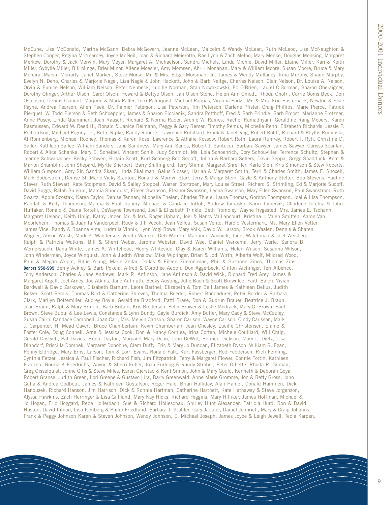McCune, Lisa McDonald, Martha McGann, Debra McGovern, Jeanne McLean, Malcolm & Wendy McLean, Ruth McLeod, Lisa McNaughton & Stephen Cooper, Regina McNearney, Joyce McNeil, Joan & Richard Meierotto, Rae Lynn & Zach Melbo, Mary Menke, Douglas Mensing, Margaret Merkow, Dorothy & Jack Merwin, Mary Meyer, Margaret A. Michaelson, Sandra Michels, Linda Michie, David Miller, Elaine Miller, Kari & Keith Miller, Sybylle Miller, Bill Minge, Brier Minor, Allene Moesler, Amy Momsen, Ah-Li Monahan, Mary & William Moore, Susan Moore, Bruce & Mary Moreira, Marvin Moriarty, Janet Morken, Steve Morse, Mr. & Mrs. Edgar Morsman, Jr., James & Wendy Mullaney, Irma Murphy, Shaun Murphy, Evelyn N. Deno, Charles & Marjorie Nagel, Liza Nagle & John Hackett, John & Barb Neitge, Charles Nelson, Clair Nelson, Dr. Louise A. Nelson, Orvin & Eunice Nelson, William Nelson, Peter Neubeck, Lucille Norman, Stan Nowakowski, Ed O'Brien, Laurel O'Gorman, Sharon Oberaigner, Dorothy Olinger, Arthur Olson, Carol Olson, Howard & Bettye Olson, Jan Olson Stone, Helen Ann Omodt, Rhoda Onofri, Corrie Ooms Beck, Don Ostenson, Dennis Ozment, Marjorie & Mark Paller, Terri Palmquist, Michael Pappas, Virginia Parks, Mr. & Mrs. Eric Pasternack, Newton & Elsie Payne, Andrea Pearson, Allen Peek, Dr. Palmer Peterson, Lisa Peterson, Tim Peterson, Darlene Pfister, Craig Phillips, Marie Pierce, Patrick Pierquet, W. Todd Pierson & Beth Schoeppler, James & Sharon Plocienik, Sandra Potthoff, Fred & Barb Prindle, Barb Proost, Marianne Protzner, Anne Pusey, Linda Quammen, Joan Raasch, Richard & Norma Rader, Archie W. Raines, Rachel Ramadhyani, Geraldine Rang Mooers, Karen Rasmussen, Edward W. Reed III, Ronald & Janice Reimann, Peggy & Gary Remer, Timothy Remus, Michelle Renn, Elizabeth Richards, Jessie F. Richardson, Michael Rigney, Jr., Bette Ripke, Randy Roberts, Lawrence Robillard, Frank & Janet Rog, Robert Rohlf, Richard & Phyllis Rominski, Al Ronnenberg, Michael Rooney, Thomas & Karen Rose, Lawrence & Athalie Rossow, Robert Roth, Laura Rumrey, Robert I. Ryti, Christine D. Sailer, Kathleen Sallee, William Sanders, Jane Sandness, Mary Ann Sands, Robert J. Santucci, Barbara Sawyer, James Sawyer, Carissa Scanlan, Robert & Alice Schanke, Mary E. Scheibel, Vincent Schik, Judy Schmidt, Ms. Lola Schoenrich, Dory Schouviller, Terrence Schultz, Stephen & Jeanne Schwabacher, Becky Schwen, Britain Scott, Kurt Seaberg Bob Sedoff, Julian & Barbara Sellers, David Seppa, Gregg Shadduck, Kent & Marion Shamblin, John Shepard, Myrtle Sherbert, Barry Shillingford, Terry Shima, Margaret Shreffler, Karla Sieh, Kris Simonson & Stew Roberts, William Simpson, Amy Sir, Sandra Skaar, Linda Skallman, Gaius Slosser, Harlan & Margaret Smith, Terri & Charles Smith, James E. Snoxell, Mark Soderstrom, Denise St. Marie Vicky Stanton, Ronald & Marilyn Starr, Jerry & Margy Stein, Gayle & Anthony Stelter, Bob Stevens, Pauline Stever, Ruth Stewart, Kate Stolpman, David & Salley Stoppel, Warren Stortroen, Mary Louise Street, Richard S. Strimling, Ed & Marjorie Sucoff, David Suggs, Ralph Sulerud, Marcia Sundquist, Eileen Swanson, Eleanor Swanson, Leona Swanson, Mary Ellen Swanson, Paul Swanstrom, Ruth Swartz, Apple Szostak, Karen Taylor, Denise Tennen, Michelle Thelen, Charles Thiele, Laura Thomas, Gordon Thompson, Joel & Lisa Thompson, Randall & Kelly Thompson, Marcia & Paul Tippery, Michael & Candace Toffoli, Andrew Tomasko, Karin Tomervik, Charlene Torchia & John Huffaker, Ronald & Diana Tortelli, DeWayne Townsend, Joel & Elizabeth Trinkle, Beth Trombley, Wayne Trygested, Mrs. James E. Tschann, Margaret Ueland, Keith Uhlig, Kathy Unger, Mr. & Mrs. Roger Upham, Joel & Nancy Vaillancourt, Kristina J. Valen Smitten, Aaron Van Moorlehem, Thomas & Juanita Vanderpoel, Rudy & Jill Vecoli, Jean Velleu, Susan Vento, Harold Vestermark, Ms. Mary Ellen Vetter, James Vice, Randy & Roanna Vine, Ludmila Vinnik, Lynn Vogl Bowe, Mary Volk, David W. Larson, Brook Waalen, Dennis & Sharen Wagner, Alison Walsh, Mark S. Wandersee, Venita Warnke, Deb Warren, Marianne Wasnick, Janet Watchman & Joel Weisberg, Ralph & Patricia Watkins, Bill & Sherri Weber, Jerome Webster, David Wee, Daniel Werkema, Jerry Werle, Sandra B. Wernersbach, Dana White, James A. Whitehead, Henry Whiteside, Clay & Karen Williams, Helen Wilson, Susanna Wilson, John Winderman, Joyce Winquist, John & Judith Winslow, Mike Wiplinger, Brian & Jodi Wirth, Alberta Wolf, Mildred Wood, Paul & Megan Wright, Billie Young, Marie Zellar, Dallas & Eileen Zimmerman, Phil & Suzanne Zinos, Thomas Zins **Donors \$50-\$99** Berny Ackley & Barb Pokela, Alfred & Dorothee Aeppli, Don Aggerbeck, Clifton Aichinger, Teri Alberico, Tony Anderson, Charles & Jane Andrews, Mark R. Anfinson, Jane Anfinson & David Wick, Richard Fred Arey, James & Margaret Argall, Joel Arney, Joe Atkins, Jane Aufmuth, Becky Austing, Julie Bach & Scott Brownlee, Faith Balch, Vivian Bardwell & David Zarkower, Elizabeth Barnum, Leora Barthel, Elizabeth & Tom Bell James & Kathleen Bellus, Judith Belzer, Scott Bemis, Thomas Bird & Catherine Shreves, Thelma Boeder, Robert Bondadurer, Peter Border & Barbara Clark, Marilyn Bottemiller, Audrey Boyle, Geraldine Bradford, Patti Brase, Don & Gudrun Brauer, Beatrice J. Braun, Joan Braun, Ralph & Mary Brindle, Barb Britain, Kris Brodersen, Peter Brower & Leslie Modrack, Mary G. Brown, Paul Brown, Steve Bubul & Lee Lewis, Constance & Lynn Bundy, Gayle Burdick, Amy Butler, Mary Cady & Steve McCauley, Susan Cairn, Candace Campbell, Joan Carl, Mrs. Melvin Carlson, Sharon Carlson, Wayne Carlson, Cindy Carlsson, Mark J. Carpenter, H. Mead Cavert, Bruce Chamberlain, Kevin Chamberlain Jean Chesley, Lucille Christensen, Elaine & Foster Cole, Doug Connell, Arne & Jessica Cook, Don & Nancy Corniea, Irina Corten, Michele Couillard, Will Craig, Gerald Dastych, Pat Davies, Bruce Dayton, Margaret Mary Dean, John DeWitt, Bernice Dickson, Mary L. Dietz, Lisa Dinndorf, Priscilla Dombek, Margaret Donohue, Clem Duffy, Eric & Mary Jo Duncan, Elizabeth Dyson, William R. Egan, Penny Eldridge, Mary Ernst Larson, Tom & Lorri Evans, Ronald Falk, Kurt Fassberger, Rod Feddersen, Rich Femling, Cynthia Fetzer, Jessica & Paul Fischer, Richard Fish, Jim Fitzpatrick, Terry & Margaret Flower, Connie Fortin, Kathleen Franzen, Norma K Friedrichs, Wayne & Sherri Fuller, Joan Furlong & Randy Strobel, Peter Gillette, Rhoda R. Gilman, Greg Gisselquist, Joline Gitis & Steve Miles, Karen Gjerstad & Kent Simon, John & Mary Gould, Kenneth & Deborah Goya, Robert Granse, Judith Green, Lori Greene & Gustavo Lira, Barry Greenwald, Anne Marie Gromme, Jon & Betty Gross, John Gulla & Andrea Godbout, James & Kathleen Gustafson, Roger Hale, Brian Halliday, Alan Hamel, Donald Hammen, Dick Hanousek, Richard Hanson, Jim Harrison, Dick & Ronnie Hartman, Catherine Hartnett, Kate Hathaway & Steve Jorgenson, Alyssa Hawkins, Zach Herringer & Lisa Gilliland, Mary Kay Hicks, Richard Higgins, Mary Hilfiker, James Hoffman, Michael & Jo Hogan, Eric Hoggard, Reba Hollerbach, Sue & Richard Holleschau, Shirley Hunt Alexander, Patricia Hurd, Ron & David Huston, David Inman, Lisa Isenberg & Philip Friedlund, Barbara J. Stuhler, Gary Jaquier, Daniel Jennrich, Mary & Craig Johanns, Frank & Peggy Johnson Karen & Steven Johnson, Wendy Johnson, E. Michael Joseph, James Joyce & Leigh Jewell, Tecla Karpen,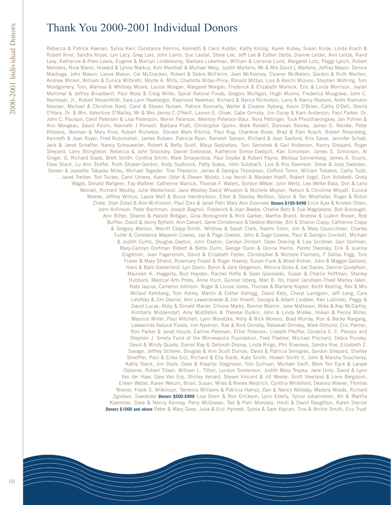# Thank You 2000-2001 Individual Donors

Rebecca & Patrick Keenan, Sylvia Kerr, Constance Kerrins, Kenneth & Carol Kidder, Kathy Kinzig, Karen Kobey, Susan Kolze, Linda Krach & Robert Kriel, Sandra Kruse, Lyn Lacy, Greg Lais, John Lamb, Sue Laxdal, Steve Lee, Jeff Lee & Esther Derby, Dianne Leider, Ann Leitze, Rand Levy, Katherine & Piers Lewis, Eugene & Marilyn Linderkamp, Barbara Lukerman, William & Lorraine Lund, Margaret Lutz, Peggy Lynch, Robert Manders, Nina Manzi, Howard & Lynne Markus, Kim Marshall & Michael Welp, Judith Martens, Mr & Mrs David L Martens, Jeffrey Masco, Dennis Mashuga, John Mason, Lance Mason, Cal McCracken, Robert & Debra McFerrin, Joan McKenney, Eleanor McWaters, Gordon & Ruth Menten, Andrew Mickel, William & Eunice Milbrath, Monte A. Mills, Charlotte Mitau-Price, Ronald Mittan, Lois & Keichi Mizuno, Stephen Mohring, Tom Montgomery, Tom, Marissa & Whitney Moore, Louise Morgan, Margaret Morgan, Frederick & Elizabeth Morlock, Eric & Linda Morrison, Jeylan Mortimer & Jeffrey Broadbent, Paul Moss & Craig Miller, Spiral Natural Foods, Gregory Mulligan, Hugh Munns, Frederica Musgrave, John C. Neimeyer, Jr., Robert Neuenfeldt, Sara Lynn Newberger, Raymond Newman, Richard & Nancy Nicholson, Larry & Nancy Nielson, Ardis Niemann Noonan, Michael & Christine Nord, Carol & Steven Nulsen, Patrick Nunnally, Walter & Eleanor Nyberg, Kevin O'Brien, Cathy O'Dell, Sheila O'Hara, Dr. & Mrs. Valentine O'Malley, Mr & Mrs James C O'Neill, Lauren E. Oliver, Gabe Ormsby, Jim Ouray & Karn Anderson, Paul Parker, Dr. John C. Paulson, Carol Petersen & Lisa Petersson, Myron Peterson, Memory Peterson-Baur, Nora Pettinger, Touk Phouthavongxay, Jan Pohlen & Ann Mongeau, David Polzin, Kenneth J Porwoll, Barbara Pratt, Christopher Quinn, Mark Reidell, Donovan Reinke, James D. Reinke, Peter Ribbens, Norman & Mary Rice, Robert Richeson, Donald Mark Ritchie, Paul Rog, Charlene Roise, Brad & Pam Rosch, Robert Rosenberg, Kenneth & Jean Royer, Fred Rozumalski, James Rutzen, Patricia Ryan, Ramesh Sairam, Richard & Jean Sanford, Kris Sauer, Jennifer Schad, Jack & Janet Schaffer, Nancy Schouweiler, Robert & Betty Scott, Maija Sedzielarz, Toni Seroshek & Gail Anderson, Nancy Shepard, Roger Shepard, Larry Shingleton, Rebecca & John Shockley, Daniel Siebrasse, Katherine Simon-Dastych, Kari Simonson, James S. Simonson, Al Singer, G. Richard Slade, Brett Smith, Cynthia Smith, Mark Snoeyenbos, Paul Snyder & Robert Payne, Melissa Sonnenberg, James A. Souris, Dave Stack, Lu Ann Stoffel, Ruth Stryker-Gordon, Andy Sudbrock, Patty Suess, John Sulzbach, Lois & Roy Swanson, Steve & Judy Swanson, Steven & Jeanette Takaoka Miles, Michael Tegeder, Tine Thevenin, James & Georgia Thompson, Clifford Timm, William Tobakos, Cathy Todd, Janet Treiber, Ted Tucker, Carol Urness, Karen Utter & Steven Woletz, Lisa Vecoli & Marjean Hoeft, Robert Vogel, Don Vollstedt, Greta Wagle, Donald Wallgren, Fay Walther, Catherine Warrick, Thomas F. Waters, Gordon Weber, John Weitz, Lee Welke Bass, Don & Leny Wendel, Richard Westby, Julie Westerlund, Jane Westley David Wheaton & Michele Moylan, Nelson & Christine Whyatt, Eunice Wiener, Jeffrey Willius, Laura Wolf & Bruce Hendrickson, Ellen & Stanley Wolfson, Glenn & Teri Woythaler, Roger & Robin Zinke, Stan Zobel & Ann McKinnon, Paul Zorn & Janet Petri Mary Ann Zvanovec **Donors \$100-\$499** Erick Ajax & Kristen Olsen, John Anfinson, Peter Bachman, Joseph Bagnoli, Frederick & Joan Beebe, Charlie Betz & Sue Magdalene, Bob Bieraugel, Ann Bitter, Sharon & Harold Bobgan, Gina Bonsignore & Rick Garber, Martha Brand, Andrew & LuAnn Brown, Rob Buffler, David & Jenny Byfield, Ann Calvert, Gene Christenson & Debbie Meister, Bill & Sharon Clapp, Catherine Clapp & Gregory Mansur, Merritt Clapp-Smith, Whitney & Sarah Clark, Naomi Cohn, Jim & Mary Councilman, Charles Fuller & Constance Mayeron Cowles, Jay & Page Cowles, John & Sage Cowles, Paul & Georgia Crockett, Michael & Judith Curtis, Douglas Dayton, John Dayton, Carolyn Dindorf, Dean Doering & Lisa Scribner, Gail Dorfman, Mary-Carolyn Dorfman Robert & Bette Dunn, George Dunn & Donna Harris, Peretz Dworsky, Erik & Joanna Engstrom, Jean Fagerstrom, David & Elizabeth Fesler, Christopher & Michele Flannery, F Dallas Fogg, Tom Fraser & Mary Strand, Rosemary Frazel & Roger Howley, Susan Funk & Wood Kidner, John & Maggie Galland, Hans & Barb Gasterland, Lyn Glenn, Byron & Jane Gregerson, Monica Gross & Joe Sayles, Dannie Gustafson, Maureen K. Haggerty, Bud Hayden, Rachel Hefte & Sean Gosiewski, Susan & Charlie Hoffman, Stanley Hubbard, Medical Arts Press, Anne Hunt, Gunnar Isberg, Mari B. Ito, Hazel Jacobsen-Theel Martey Jakel, Kate Jaycox, Cameron Johnson, Roger & Louise Jones, Thomas & Marlene Kayser, Keith Keeling, Rev & Mrs Willard Kehrberg, Tom Kelley, Martin & Esther Kellogg, David Ketz, Cheryl Landgren, Jeff Lang, Cara Letofsky & Jim Davnie, Ann Lewandowski & Jim Howitt, Georgia & Albert Lindeke, Ken Lubinski, Peggy & David Lucas, Abby & Donald Marier, Elinore Marks, Bonnie Marron, Jane Matteson, Mike & Kay McCarthy, Kimberly Middendorf, Amy Middleton & Therese Durkin, John & Linda Mielke, Hokan & Penny Miller, Maurice Miller, Paul Mitchell, Lynn Moratzka, Kelly & Rick Moreno, Brad Murray, Ron & Becky Nargang, Lakewinds Natural Foods, Jim Nystrom, Rae & Rick Ormsby, Rebekah Ormsby, Mark Ostlund, Eric Palmer, Ron Parker & Janet Houck, Earline Petersen, Ethel Peterson, Lisbeth Pfeiffer, Cordelia S. C. Pierson and Stephen J. Smela Fund of the Minneapolis Foundation, Fred Poehler, Michael Prichard, Debra Pursley, David & Mindy Quade, Daniel Ray & Deborah Disney, Linda Rings, Phil Riveness, Sandra Roe, Elizabeth Z. Savage, Jeffrey Scherer, Douglas & Ann Scott Dumas, David & Patricia Senogles, Gordon Shepard, Shelley Shreffler, Paul & Erika Sitz, Richard & Ella Slade, Kate Smith, Howell Smith II, John & Marsha Soucheray, Kathy Stack, Jim Stark, Dave & Klaartje Stegmaier, Tom Sullivan, Michael Swift, Mark Ten Eyck & Laraye Osborne, Robert Tilsen, William L. Tilton, Lyndon Torstenson, Judith Mary Trepka, Jane Untz, David & Lynn Van der Haar, Gary Van Erp, Shirley Venard, Steven Vincent & Jill Weese, Scott Vreeland & Lorie Bergstom, Eileen Weber, Karen Weium, Brian, Susan, Miles & Renee Westrich, Cynthia Whiteford, Deanna Wiener, Thomas Wiener, Frank S. Wilkinson, Terrence Williams & Patricia Hampl, Dan & Nancy Wolesky, Medora Woods, Richard Zgodava, Sawatdee **Donors \$500-\$999** Lisa Doerr & Ron Erickson, Lynn Eberly, Sylvia Johanneson, Art & Martha Kaemmer, Dave & Nancy Kenney, Perry McGowan, Ted & Pam Mondale, Heidi & David Naughton, Karen Sternal **Donors \$1000 and above** Peter & Mary Gove, Julia & Eric Hynnek, Sylvia & Sam Kaplan, Tina & Archie Smith, Eco Trust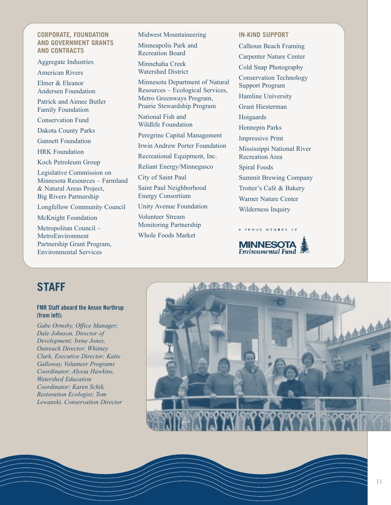### **CORPORATE, FOUNDATION AND GOVERNMENT GRANTS AND CONTRACTS**

Aggregate Industries

American Rivers

Elmer & Eleanor Andersen Foundation

Patrick and Aimee Butler Family Foundation

Conservation Fund

Dakota County Parks

Gannett Foundation

HRK Foundation

Koch Petroleum Group

Legislative Commission on Minnesota Resources – Farmland & Natural Areas Project, Big Rivers Partnership

Longfellow Community Council

McKnight Foundation

Metropolitan Council – MetroEnvironment Partnership Grant Program, Environmental Services

Midwest Mountaineering Minneapolis Park and Recreation Board

Minnehaha Creek Watershed District

Minnesota Department of Natural Resources – Ecological Services, Metro Greenways Program, Prairie Stewardship Program

National Fish and Wildlife Foundation

Peregrine Capital Management

Irwin Andrew Porter Foundation

Recreational Equipment, Inc.

Reliant Energy/Minnegasco

City of Saint Paul

Saint Paul Neighborhood Energy Consortium

Unity Avenue Foundation

Volunteer Stream Monitoring Partnership Whole Foods Market

**IN-KIND SUPPORT** Calhoun Beach Framing Carpenter Nature Center Cold Snap Photography Conservation Technology Support Program Hamline University Grant Hiesterman Hoigaards Hennepin Parks Impressive Print Mississippi National River Recreation Area Spiral Foods Summit Brewing Company Trotter's Café & Bakery Warner Nature Center Wilderness Inquiry



A PROUD MEMBER OF

# **STAFF**

### **FMR Staff aboard the Anson Northrup (from left):**

*Gabe Ormsby, Office Manager; Dale Johnson, Director of Development; Irene Jones, Outreach Director; Whitney Clark, Executive Director; Katie Galloway, Volunteer Programs Coordinator; Alyssa Hawkins, Watershed Education Coordinator; Karen Schik, Restoration Ecologist; Tom Lewanski, Conservation Director*